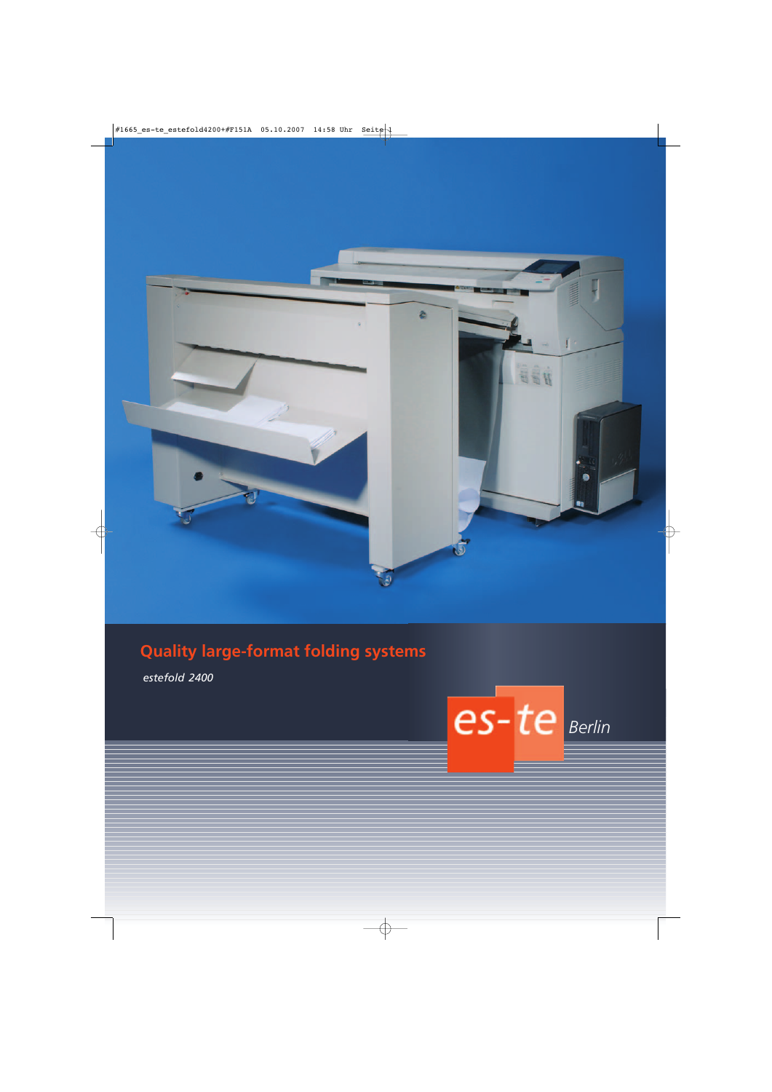

# **Quality large-format folding systems**

*estefold 2400*